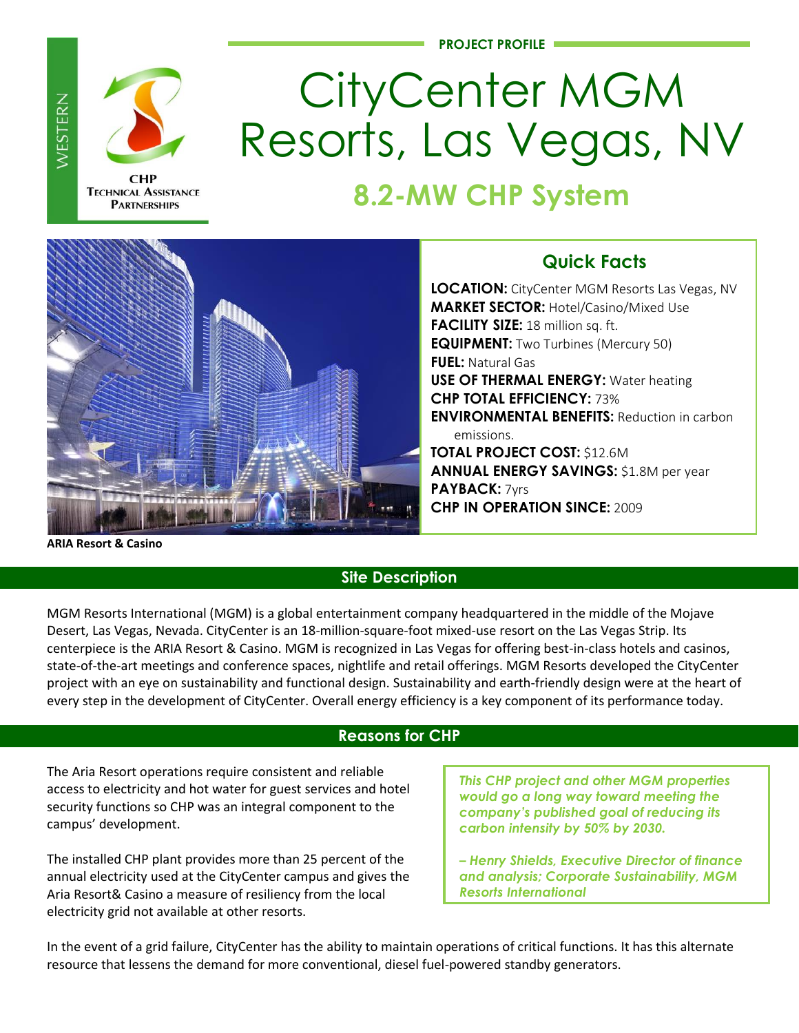**PROJECT PROFILE**



WESTERN

**TECHNICAL ASSISTANCE PARTNERSHIPS** 

# CityCenter MGM Resorts, Las Vegas, NV

## **8.2-MW CHP System**



### **Quick Facts**

**LOCATION:** CityCenter MGM Resorts Las Vegas, NV **MARKET SECTOR:** Hotel/Casino/Mixed Use **FACILITY SIZE:** 18 million sq. ft. **EQUIPMENT:** Two Turbines (Mercury 50) **FUEL:** Natural Gas **USE OF THERMAL ENERGY:** Water heating **CHP TOTAL EFFICIENCY:** 73% **ENVIRONMENTAL BENEFITS:** Reduction in carbon emissions. **TOTAL PROJECT COST:** \$12.6M

**ANNUAL ENERGY SAVINGS:** \$1.8M per year **PAYBACK:** 7yrs **CHP IN OPERATION SINCE:** 2009

**ARIA Resort & Casino** 

#### **Site Description**

MGM Resorts International (MGM) is a global entertainment company headquartered in the middle of the Mojave Desert, Las Vegas, Nevada. CityCenter is an 18-million-square-foot mixed-use resort on the Las Vegas Strip. Its centerpiece is the ARIA Resort & Casino. MGM is recognized in Las Vegas for offering best-in-class hotels and casinos, state-of-the-art meetings and conference spaces, nightlife and retail offerings. MGM Resorts developed the CityCenter project with an eye on sustainability and functional design. Sustainability and earth-friendly design were at the heart of every step in the development of CityCenter. Overall energy efficiency is a key component of its performance today.

#### **Reasons for CHP**

The Aria Resort operations require consistent and reliable access to electricity and hot water for guest services and hotel security functions so CHP was an integral component to the campus' development.

The installed CHP plant provides more than 25 percent of the annual electricity used at the CityCenter campus and gives the Aria Resort& Casino a measure of resiliency from the local electricity grid not available at other resorts.

*This CHP project and other MGM properties would go a long way toward meeting the company's published goal of reducing its carbon intensity by 50% by 2030.*

*– Henry Shields, Executive Director of finance and analysis; Corporate Sustainability, MGM Resorts International* 

In the event of a grid failure, CityCenter has the ability to maintain operations of critical functions. It has this alternate resource that lessens the demand for more conventional, diesel fuel-powered standby generators.